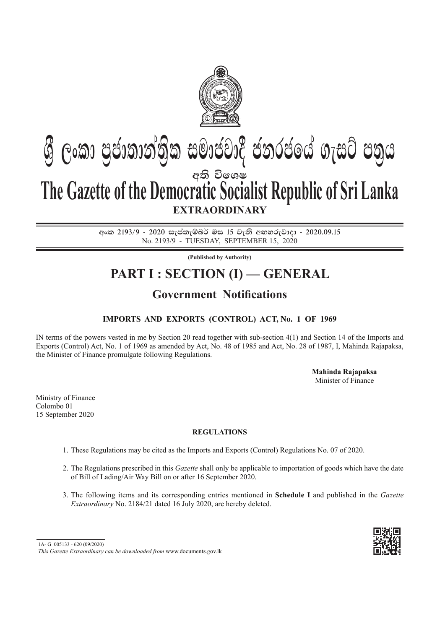

# අති වි**ඉ**ශෂ **EXTRAORDINARY Gී ලංකා පුජාතාන්තික සමාජවාදී ජනරජයේ ගැසට් පතුය The Gazette of the Democratic Socialist Republic of Sri Lanka**

අංක 2193/9 - 2020 සැප්තැම්බර් මස 15 වැනි අඟහරුවාදා - 2020.09.15 No. 2193/9 - Tuesday, September 15, 2020

**(Published by Authority)**

## **PART I : SECTION (I) — GENERAL**

## **Government Notifications**

### **Imports and Exports (Control) Act, No. 1 of 1969**

IN terms of the powers vested in me by Section 20 read together with sub-section 4(1) and Section 14 of the Imports and Exports (Control) Act, No. 1 of 1969 as amended by Act, No. 48 of 1985 and Act, No. 28 of 1987, I, Mahinda Rajapaksa, the Minister of Finance promulgate following Regulations.

> **Mahinda Rajapaksa** Minister of Finance

Ministry of Finance Colombo 01 15 September 2020

#### **Regulations**

- 1. These Regulations may be cited as the Imports and Exports (Control) Regulations No. 07 of 2020.
- 2. The Regulations prescribed in this *Gazette* shall only be applicable to importation of goods which have the date of Bill of Lading/Air Way Bill on or after 16 September 2020.
- 3. The following items and its corresponding entries mentioned in **Schedule I** and published in the *Gazette Extraordinary* No. 2184/21 dated 16 July 2020, are hereby deleted.

1A- G 005133 - 620 (09/2020)

*This Gazette Extraordinary can be downloaded from* www.documents.gov.lk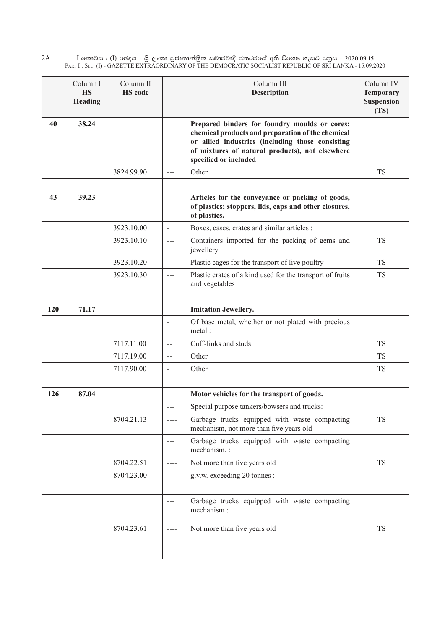$\rm I$  කොටස : ( $\rm I$ ) ඡෙදය - ශුී ලංකා පුජාතාන්තිුක සමාජවාදී ජනරජයේ අති විශෙෂ ගැසට් පතුය - 2020.09.15 Part I : Sec. (I) - GAZETTE EXTRAORDINARY OF THE DEMOCRATIC SOCIALIST REPUBLIC OF SRI LANKA - 15.09.2020 2A

|     | Column I<br><b>HS</b><br>Heading | Column II<br><b>HS</b> code |                          | Column III<br><b>Description</b>                                                                                                                                                                                                   | Column IV<br><b>Temporary</b><br><b>Suspension</b><br>(TS) |
|-----|----------------------------------|-----------------------------|--------------------------|------------------------------------------------------------------------------------------------------------------------------------------------------------------------------------------------------------------------------------|------------------------------------------------------------|
| 40  | 38.24                            |                             |                          | Prepared binders for foundry moulds or cores;<br>chemical products and preparation of the chemical<br>or allied industries (including those consisting<br>of mixtures of natural products), not elsewhere<br>specified or included |                                                            |
|     |                                  | 3824.99.90                  | $---$                    | Other                                                                                                                                                                                                                              | <b>TS</b>                                                  |
|     |                                  |                             |                          |                                                                                                                                                                                                                                    |                                                            |
| 43  | 39.23                            |                             |                          | Articles for the conveyance or packing of goods,<br>of plastics; stoppers, lids, caps and other closures,<br>of plastics.                                                                                                          |                                                            |
|     |                                  | 3923.10.00                  | $\blacksquare$           | Boxes, cases, crates and similar articles :                                                                                                                                                                                        |                                                            |
|     |                                  | 3923.10.10                  | $---$                    | Containers imported for the packing of gems and<br>jewellery                                                                                                                                                                       | <b>TS</b>                                                  |
|     |                                  | 3923.10.20                  | $\overline{a}$           | Plastic cages for the transport of live poultry                                                                                                                                                                                    | <b>TS</b>                                                  |
|     |                                  | 3923.10.30                  | ---                      | Plastic crates of a kind used for the transport of fruits<br>and vegetables                                                                                                                                                        | <b>TS</b>                                                  |
|     |                                  |                             |                          |                                                                                                                                                                                                                                    |                                                            |
| 120 | 71.17                            |                             |                          | <b>Imitation Jewellery.</b>                                                                                                                                                                                                        |                                                            |
|     |                                  |                             | $\blacksquare$           | Of base metal, whether or not plated with precious<br>metal:                                                                                                                                                                       |                                                            |
|     |                                  | 7117.11.00                  | $\overline{\phantom{a}}$ | Cuff-links and studs                                                                                                                                                                                                               | <b>TS</b>                                                  |
|     |                                  | 7117.19.00                  |                          | Other                                                                                                                                                                                                                              | <b>TS</b>                                                  |
|     |                                  | 7117.90.00                  | $\blacksquare$           | Other                                                                                                                                                                                                                              | <b>TS</b>                                                  |
|     |                                  |                             |                          |                                                                                                                                                                                                                                    |                                                            |
| 126 | 87.04                            |                             |                          | Motor vehicles for the transport of goods.                                                                                                                                                                                         |                                                            |
|     |                                  |                             | $---$                    | Special purpose tankers/bowsers and trucks:                                                                                                                                                                                        |                                                            |
|     |                                  | 8704.21.13                  | ----                     | Garbage trucks equipped with waste compacting<br>mechanism, not more than five years old                                                                                                                                           | <b>TS</b>                                                  |
|     |                                  |                             |                          | Garbage trucks equipped with waste compacting<br>mechanism.:                                                                                                                                                                       |                                                            |
|     |                                  | 8704.22.51                  | ----                     | Not more than five years old                                                                                                                                                                                                       | <b>TS</b>                                                  |
|     |                                  | 8704.23.00                  | $-\!$ $\!-$              | g.v.w. exceeding 20 tonnes :                                                                                                                                                                                                       |                                                            |
|     |                                  |                             | $\qquad \qquad -$        | Garbage trucks equipped with waste compacting<br>mechanism:                                                                                                                                                                        |                                                            |
|     |                                  | 8704.23.61                  |                          | Not more than five years old                                                                                                                                                                                                       | <b>TS</b>                                                  |
|     |                                  |                             |                          |                                                                                                                                                                                                                                    |                                                            |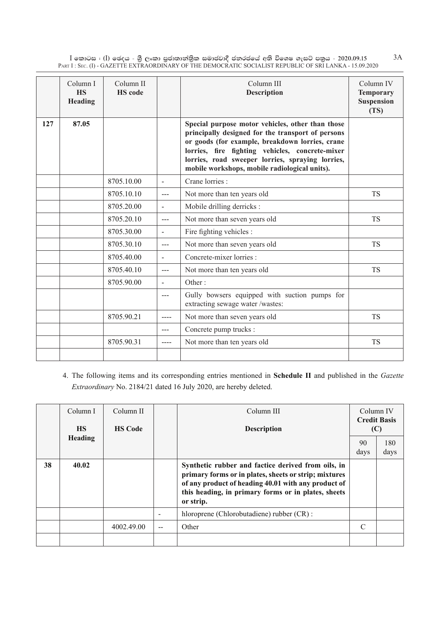$\rm I$  කොටස : ( $\rm I$ ) ඡෙදය - ශුී ලංකා පුජාතාන්තුික සමාජවාදී ජනරජයේ අති විශෙෂ ගැසට් පතුය - 2020.09.15 Part I : Sec. (I) - GAZETTE EXTRAORDINARY OF THE DEMOCRATIC SOCIALIST REPUBLIC OF SRI LANKA - 15.09.2020 3A

|     | Column I<br><b>HS</b><br>Heading | Column II<br><b>HS</b> code |                | Column III<br><b>Description</b>                                                                                                                                                                                                                                                                                 | Column IV<br><b>Temporary</b><br><b>Suspension</b><br>(TS) |
|-----|----------------------------------|-----------------------------|----------------|------------------------------------------------------------------------------------------------------------------------------------------------------------------------------------------------------------------------------------------------------------------------------------------------------------------|------------------------------------------------------------|
| 127 | 87.05                            |                             |                | Special purpose motor vehicles, other than those<br>principally designed for the transport of persons<br>or goods (for example, breakdown lorries, crane<br>lorries, fire fighting vehicles, concrete-mixer<br>lorries, road sweeper lorries, spraying lorries,<br>mobile workshops, mobile radiological units). |                                                            |
|     |                                  | 8705.10.00                  | $\blacksquare$ | Crane lorries :                                                                                                                                                                                                                                                                                                  |                                                            |
|     |                                  | 8705.10.10                  | $---$          | Not more than ten years old                                                                                                                                                                                                                                                                                      | <b>TS</b>                                                  |
|     |                                  | 8705.20.00                  |                | Mobile drilling derricks :                                                                                                                                                                                                                                                                                       |                                                            |
|     |                                  | 8705.20.10                  | $---$          | Not more than seven years old                                                                                                                                                                                                                                                                                    | <b>TS</b>                                                  |
|     |                                  | 8705.30.00                  | $\blacksquare$ | Fire fighting vehicles :                                                                                                                                                                                                                                                                                         |                                                            |
|     |                                  | 8705.30.10                  | $---$          | Not more than seven years old                                                                                                                                                                                                                                                                                    | <b>TS</b>                                                  |
|     |                                  | 8705.40.00                  |                | Concrete-mixer lorries :                                                                                                                                                                                                                                                                                         |                                                            |
|     |                                  | 8705.40.10                  | $---$          | Not more than ten years old                                                                                                                                                                                                                                                                                      | <b>TS</b>                                                  |
|     |                                  | 8705.90.00                  |                | Other $\cdot$                                                                                                                                                                                                                                                                                                    |                                                            |
|     |                                  |                             | $---$          | Gully bowsers equipped with suction pumps for<br>extracting sewage water /wastes:                                                                                                                                                                                                                                |                                                            |
|     |                                  | 8705.90.21                  |                | Not more than seven years old                                                                                                                                                                                                                                                                                    | <b>TS</b>                                                  |
|     |                                  |                             | $---$          | Concrete pump trucks :                                                                                                                                                                                                                                                                                           |                                                            |
|     |                                  | 8705.90.31                  | $---$          | Not more than ten years old                                                                                                                                                                                                                                                                                      | <b>TS</b>                                                  |
|     |                                  |                             |                |                                                                                                                                                                                                                                                                                                                  |                                                            |

4. The following items and its corresponding entries mentioned in **Schedule II** and published in the *Gazette Extraordinary* No. 2184/21 dated 16 July 2020, are hereby deleted.

|    | Column I<br><b>HS</b> | Column II<br><b>HS Code</b> |     | Column III<br><b>Description</b>                                                                                                                                                                                                       | Column IV  | <b>Credit Basis</b><br>(C) |
|----|-----------------------|-----------------------------|-----|----------------------------------------------------------------------------------------------------------------------------------------------------------------------------------------------------------------------------------------|------------|----------------------------|
|    | <b>Heading</b>        |                             |     |                                                                                                                                                                                                                                        | 90<br>days | 180<br>days                |
| 38 | 40.02                 |                             |     | Synthetic rubber and factice derived from oils, in<br>primary forms or in plates, sheets or strip; mixtures<br>of any product of heading 40.01 with any product of<br>this heading, in primary forms or in plates, sheets<br>or strip. |            |                            |
|    |                       |                             |     | hloroprene (Chlorobutadiene) rubber (CR) :                                                                                                                                                                                             |            |                            |
|    |                       | 4002.49.00                  | $-$ | Other                                                                                                                                                                                                                                  | C          |                            |
|    |                       |                             |     |                                                                                                                                                                                                                                        |            |                            |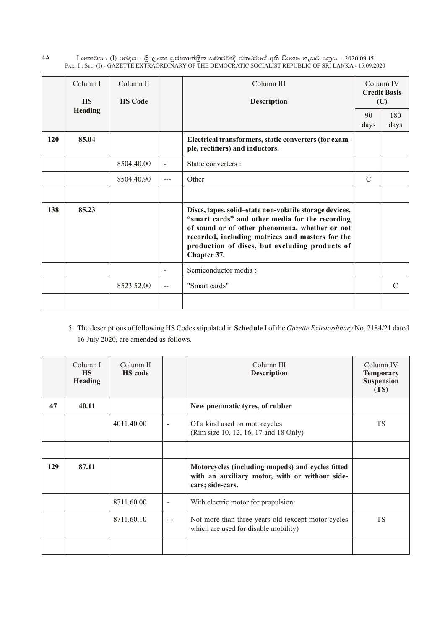$\rm I$  කොටස : ( $\rm I$ ) ඡෙදය - ශුී ලංකා පුජාතාන්තිුක සමාජවාදී ජනරජයේ අති විශෙෂ ගැසට් පතුය - 2020.09.15 Part I : Sec. (I) - GAZETTE EXTRAORDINARY OF THE DEMOCRATIC SOCIALIST REPUBLIC OF SRI LANKA - 15.09.2020 4A

|     | Column I<br><b>HS</b> | Column II<br><b>HS Code</b> |                | Column III<br><b>Description</b>                                                                                                                                                                                                                                                  |               | Column IV<br><b>Credit Basis</b><br>(C) |
|-----|-----------------------|-----------------------------|----------------|-----------------------------------------------------------------------------------------------------------------------------------------------------------------------------------------------------------------------------------------------------------------------------------|---------------|-----------------------------------------|
|     | <b>Heading</b>        |                             |                |                                                                                                                                                                                                                                                                                   | 90<br>days    | 180<br>days                             |
| 120 | 85.04                 |                             |                | Electrical transformers, static converters (for exam-<br>ple, rectifiers) and inductors.                                                                                                                                                                                          |               |                                         |
|     |                       | 8504.40.00                  | $\blacksquare$ | Static converters :                                                                                                                                                                                                                                                               |               |                                         |
|     |                       | 8504.40.90                  |                | Other                                                                                                                                                                                                                                                                             | $\mathcal{C}$ |                                         |
|     |                       |                             |                |                                                                                                                                                                                                                                                                                   |               |                                         |
| 138 | 85.23                 |                             |                | Discs, tapes, solid-state non-volatile storage devices,<br>"smart cards" and other media for the recording<br>of sound or of other phenomena, whether or not<br>recorded, including matrices and masters for the<br>production of discs, but excluding products of<br>Chapter 37. |               |                                         |
|     |                       |                             |                | Semiconductor media:                                                                                                                                                                                                                                                              |               |                                         |
|     |                       | 8523.52.00                  | $-$            | "Smart cards"                                                                                                                                                                                                                                                                     |               | $\mathcal{C}$                           |
|     |                       |                             |                |                                                                                                                                                                                                                                                                                   |               |                                         |

5. The descriptions of following HS Codes stipulated in **Schedule I** of the *Gazette Extraordinary* No. 2184/21 dated 16 July 2020, are amended as follows.

|     | Column I<br><b>HS</b><br><b>Heading</b> | Column II<br><b>HS</b> code |                              | Column III<br><b>Description</b>                                                                                       | Column IV<br><b>Temporary</b><br><b>Suspension</b><br>(TS) |
|-----|-----------------------------------------|-----------------------------|------------------------------|------------------------------------------------------------------------------------------------------------------------|------------------------------------------------------------|
| 47  | 40.11                                   |                             |                              | New pneumatic tyres, of rubber                                                                                         |                                                            |
|     |                                         | 4011.40.00                  | $\overline{\phantom{a}}$     | Of a kind used on motorcycles<br>(Rim size 10, 12, 16, 17 and 18 Only)                                                 | <b>TS</b>                                                  |
|     |                                         |                             |                              |                                                                                                                        |                                                            |
| 129 | 87.11                                   |                             |                              | Motorcycles (including mopeds) and cycles fitted<br>with an auxiliary motor, with or without side-<br>cars; side-cars. |                                                            |
|     |                                         | 8711.60.00                  | $\qquad \qquad \blacksquare$ | With electric motor for propulsion:                                                                                    |                                                            |
|     |                                         | 8711.60.10                  | $---$                        | Not more than three years old (except motor cycles<br>which are used for disable mobility)                             | <b>TS</b>                                                  |
|     |                                         |                             |                              |                                                                                                                        |                                                            |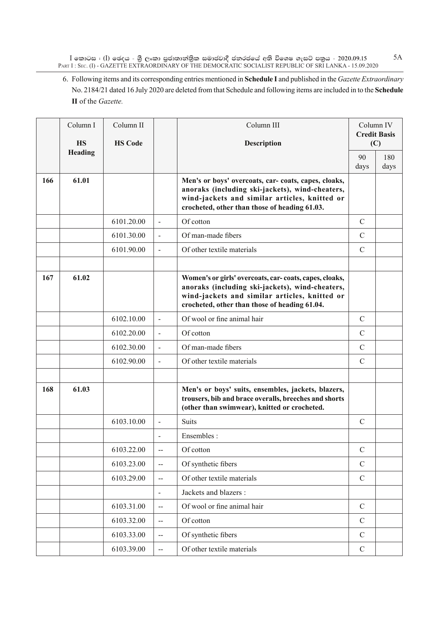$\rm I$  කොටස : ( $\rm I$ ) ඡෙදය - ශුී ලංකා පුජාතාන්තුික සමාජවාදී ජනරජයේ අති විශෙෂ ගැසට් පතුය - 2020.09.15 Part I : Sec. (I) - GAZETTE EXTRAORDINARY OF THE DEMOCRATIC SOCIALIST REPUBLIC OF SRI LANKA - 15.09.2020

6. Following items and its corresponding entries mentioned in **Schedule I** and published in the *Gazette Extraordinary* No. 2184/21 dated 16 July 2020 are deleted from that Schedule and following items are included in to the **Schedule II** of the *Gazette.*

|     | Column I             | Column II      |                          | Column III                                                                                                                                                                                                  |               | Column IV<br><b>Credit Basis</b> |
|-----|----------------------|----------------|--------------------------|-------------------------------------------------------------------------------------------------------------------------------------------------------------------------------------------------------------|---------------|----------------------------------|
|     | <b>HS</b><br>Heading | <b>HS Code</b> |                          | Description                                                                                                                                                                                                 |               | (C)                              |
|     |                      |                |                          |                                                                                                                                                                                                             | 90<br>days    | 180<br>days                      |
| 166 | 61.01                |                |                          | Men's or boys' overcoats, car- coats, capes, cloaks,<br>anoraks (including ski-jackets), wind-cheaters,<br>wind-jackets and similar articles, knitted or<br>crocheted, other than those of heading 61.03.   |               |                                  |
|     |                      | 6101.20.00     | $\overline{a}$           | Of cotton                                                                                                                                                                                                   | $\mathcal{C}$ |                                  |
|     |                      | 6101.30.00     | $\blacksquare$           | Of man-made fibers                                                                                                                                                                                          | $\mathcal{C}$ |                                  |
|     |                      | 6101.90.00     | $\overline{a}$           | Of other textile materials                                                                                                                                                                                  | $\mathcal{C}$ |                                  |
|     |                      |                |                          |                                                                                                                                                                                                             |               |                                  |
| 167 | 61.02                |                |                          | Women's or girls' overcoats, car-coats, capes, cloaks,<br>anoraks (including ski-jackets), wind-cheaters,<br>wind-jackets and similar articles, knitted or<br>crocheted, other than those of heading 61.04. |               |                                  |
|     |                      | 6102.10.00     | $\blacksquare$           | Of wool or fine animal hair                                                                                                                                                                                 | $\mathcal{C}$ |                                  |
|     |                      | 6102.20.00     | $\blacksquare$           | Of cotton                                                                                                                                                                                                   | $\mathcal{C}$ |                                  |
|     |                      | 6102.30.00     | $\blacksquare$           | Of man-made fibers                                                                                                                                                                                          | $\mathcal{C}$ |                                  |
|     |                      | 6102.90.00     | $\blacksquare$           | Of other textile materials                                                                                                                                                                                  | $\mathcal{C}$ |                                  |
|     |                      |                |                          |                                                                                                                                                                                                             |               |                                  |
| 168 | 61.03                |                |                          | Men's or boys' suits, ensembles, jackets, blazers,<br>trousers, bib and brace overalls, breeches and shorts<br>(other than swimwear), knitted or crocheted.                                                 |               |                                  |
|     |                      | 6103.10.00     | $\blacksquare$           | <b>Suits</b>                                                                                                                                                                                                | $\mathbf C$   |                                  |
|     |                      |                |                          | Ensembles:                                                                                                                                                                                                  |               |                                  |
|     |                      | 6103.22.00     | $-$                      | Of cotton                                                                                                                                                                                                   | $\mathcal{C}$ |                                  |
|     |                      | 6103.23.00     | $\overline{a}$           | Of synthetic fibers                                                                                                                                                                                         | $\mathcal{C}$ |                                  |
|     |                      | 6103.29.00     | $\overline{\phantom{a}}$ | Of other textile materials                                                                                                                                                                                  | $\mathcal{C}$ |                                  |
|     |                      |                | $\overline{\phantom{a}}$ | Jackets and blazers :                                                                                                                                                                                       |               |                                  |
|     |                      | 6103.31.00     | $-$                      | Of wool or fine animal hair                                                                                                                                                                                 | $\mathbf C$   |                                  |
|     |                      | 6103.32.00     | $-$                      | Of cotton                                                                                                                                                                                                   | $\mathcal{C}$ |                                  |
|     |                      | 6103.33.00     | $\overline{\phantom{a}}$ | Of synthetic fibers                                                                                                                                                                                         | $\mathcal{C}$ |                                  |
|     |                      | 6103.39.00     | $\overline{\phantom{a}}$ | Of other textile materials                                                                                                                                                                                  | $\mathbf C$   |                                  |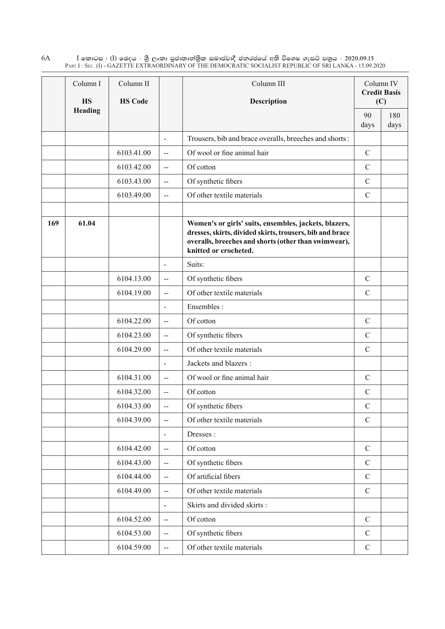$\rm I$  කොටස : ( $\rm I$ ) ඡෙදය - ශුී ලංකා පුජාතාන්තිුක සමාජවාදී ජනරජයේ අති විශෙෂ ගැසට් පතුය - 2020.09.15 Part I : Sec. (I) - GAZETTE EXTRAORDINARY OF THE DEMOCRATIC SOCIALIST REPUBLIC OF SRI LANKA - 15.09.2020 6A

|     | Column I                    | Column II      |                          | Column III                                                                                                                                                                                         |               | Column IV<br><b>Credit Basis</b> |
|-----|-----------------------------|----------------|--------------------------|----------------------------------------------------------------------------------------------------------------------------------------------------------------------------------------------------|---------------|----------------------------------|
|     | <b>HS</b><br><b>Heading</b> | <b>HS Code</b> |                          | <b>Description</b>                                                                                                                                                                                 |               | (C)                              |
|     |                             |                |                          |                                                                                                                                                                                                    | 90<br>days    | 180<br>days                      |
|     |                             |                | $\overline{\phantom{a}}$ | Trousers, bib and brace overalls, breeches and shorts:                                                                                                                                             |               |                                  |
|     |                             | 6103.41.00     | $\overline{\phantom{a}}$ | Of wool or fine animal hair                                                                                                                                                                        | $\mathbf C$   |                                  |
|     |                             | 6103.42.00     | $\overline{a}$           | Of cotton                                                                                                                                                                                          | $\mathcal{C}$ |                                  |
|     |                             | 6103.43.00     | $\overline{\phantom{a}}$ | Of synthetic fibers                                                                                                                                                                                | $\mathcal{C}$ |                                  |
|     |                             | 6103.49.00     | --                       | Of other textile materials                                                                                                                                                                         | $\mathcal{C}$ |                                  |
|     |                             |                |                          |                                                                                                                                                                                                    |               |                                  |
| 169 | 61.04                       |                |                          | Women's or girls' suits, ensembles, jackets, blazers,<br>dresses, skirts, divided skirts, trousers, bib and brace<br>overalls, breeches and shorts (other than swimwear),<br>knitted or crocheted. |               |                                  |
|     |                             |                | $\blacksquare$           | Suits:                                                                                                                                                                                             |               |                                  |
|     |                             | 6104.13.00     | $\overline{\phantom{a}}$ | Of synthetic fibers                                                                                                                                                                                | $\mathcal{C}$ |                                  |
|     |                             | 6104.19.00     | $\overline{a}$           | Of other textile materials                                                                                                                                                                         | $\mathcal{C}$ |                                  |
|     |                             |                | $\overline{\phantom{a}}$ | Ensembles:                                                                                                                                                                                         |               |                                  |
|     |                             | 6104.22.00     | $\overline{a}$           | Of cotton                                                                                                                                                                                          | $\mathbf C$   |                                  |
|     |                             | 6104.23.00     | $\overline{\phantom{a}}$ | Of synthetic fibers                                                                                                                                                                                | $\mathcal{C}$ |                                  |
|     |                             | 6104.29.00     | $\overline{a}$           | Of other textile materials                                                                                                                                                                         | $\mathcal{C}$ |                                  |
|     |                             |                | $\blacksquare$           | Jackets and blazers :                                                                                                                                                                              |               |                                  |
|     |                             | 6104.31.00     | --                       | Of wool or fine animal hair                                                                                                                                                                        | $\mathbf C$   |                                  |
|     |                             | 6104.32.00     | $\overline{a}$           | Of cotton                                                                                                                                                                                          | $\mathcal{C}$ |                                  |
|     |                             | 6104.33.00     | $-$                      | Of synthetic fibers                                                                                                                                                                                | $\mathcal{C}$ |                                  |
|     |                             | 6104.39.00     | $-$                      | Of other textile materials                                                                                                                                                                         | $\mathcal{C}$ |                                  |
|     |                             |                | $\blacksquare$           | Dresses:                                                                                                                                                                                           |               |                                  |
|     |                             | 6104.42.00     | $-$                      | Of cotton                                                                                                                                                                                          | $\mathcal{C}$ |                                  |
|     |                             | 6104.43.00     | $\overline{a}$           | Of synthetic fibers                                                                                                                                                                                | $\mathcal{C}$ |                                  |
|     |                             | 6104.44.00     | --                       | Of artificial fibers                                                                                                                                                                               | $\mathbf C$   |                                  |
|     |                             | 6104.49.00     | --                       | Of other textile materials                                                                                                                                                                         | $\mathcal{C}$ |                                  |
|     |                             |                | $\overline{a}$           | Skirts and divided skirts:                                                                                                                                                                         |               |                                  |
|     |                             | 6104.52.00     | $\overline{\phantom{a}}$ | Of cotton                                                                                                                                                                                          | $\mathcal{C}$ |                                  |
|     |                             | 6104.53.00     | $\overline{\phantom{a}}$ | Of synthetic fibers                                                                                                                                                                                | $\mathcal{C}$ |                                  |
|     |                             | 6104.59.00     | $\overline{\phantom{a}}$ | Of other textile materials                                                                                                                                                                         | $\mathbf C$   |                                  |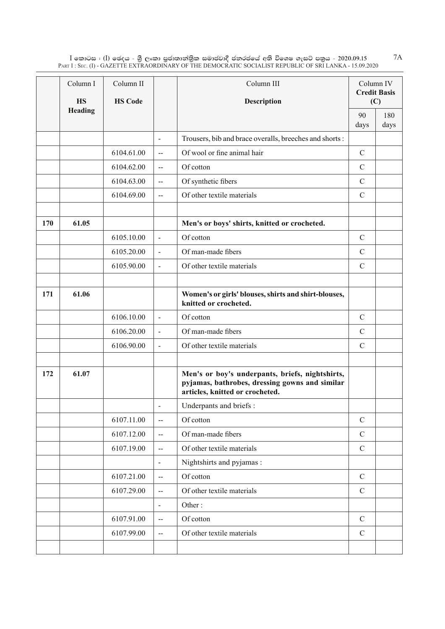$\rm I$  කොටස : ( $\rm I$ ) ඡෙදය - ශුී ලංකා පුජාතාන්තුික සමාජවාදී ජනරජයේ අති විශෙෂ ගැසට් පතුය - 2020.09.15 Part I : Sec. (I) - GAZETTE EXTRAORDINARY OF THE DEMOCRATIC SOCIALIST REPUBLIC OF SRI LANKA - 15.09.2020

|     | Column I<br>HS | Column II<br><b>HS Code</b> |                          | Column III<br>Description                                                                                                            |               | Column IV<br><b>Credit Basis</b><br>(C) |
|-----|----------------|-----------------------------|--------------------------|--------------------------------------------------------------------------------------------------------------------------------------|---------------|-----------------------------------------|
|     | Heading        |                             |                          |                                                                                                                                      | 90<br>days    | 180<br>days                             |
|     |                |                             | $\blacksquare$           | Trousers, bib and brace overalls, breeches and shorts:                                                                               |               |                                         |
|     |                | 6104.61.00                  | $\overline{\phantom{a}}$ | Of wool or fine animal hair                                                                                                          | $\mathcal{C}$ |                                         |
|     |                | 6104.62.00                  | $\sim$                   | Of cotton                                                                                                                            | $\mathcal{C}$ |                                         |
|     |                | 6104.63.00                  | $\overline{\phantom{a}}$ | Of synthetic fibers                                                                                                                  | $\mathcal{C}$ |                                         |
|     |                | 6104.69.00                  | $-$                      | Of other textile materials                                                                                                           | $\mathcal{C}$ |                                         |
|     |                |                             |                          |                                                                                                                                      |               |                                         |
| 170 | 61.05          |                             |                          | Men's or boys' shirts, knitted or crocheted.                                                                                         |               |                                         |
|     |                | 6105.10.00                  | $\blacksquare$           | Of cotton                                                                                                                            | $\mathcal{C}$ |                                         |
|     |                | 6105.20.00                  | $\blacksquare$           | Of man-made fibers                                                                                                                   | $\mathcal{C}$ |                                         |
|     |                | 6105.90.00                  | $\blacksquare$           | Of other textile materials                                                                                                           | $\mathcal{C}$ |                                         |
|     |                |                             |                          |                                                                                                                                      |               |                                         |
| 171 | 61.06          |                             |                          | Women's or girls' blouses, shirts and shirt-blouses,<br>knitted or crocheted.                                                        |               |                                         |
|     |                | 6106.10.00                  | $\blacksquare$           | Of cotton                                                                                                                            | $\mathcal{C}$ |                                         |
|     |                | 6106.20.00                  | $\overline{\phantom{a}}$ | Of man-made fibers                                                                                                                   | $\mathcal{C}$ |                                         |
|     |                | 6106.90.00                  | $\blacksquare$           | Of other textile materials                                                                                                           | $\mathcal{C}$ |                                         |
|     |                |                             |                          |                                                                                                                                      |               |                                         |
| 172 | 61.07          |                             |                          | Men's or boy's underpants, briefs, nightshirts,<br>pyjamas, bathrobes, dressing gowns and similar<br>articles, knitted or crocheted. |               |                                         |
|     |                |                             | $\overline{\phantom{0}}$ | Underpants and briefs :                                                                                                              |               |                                         |
|     |                | 6107.11.00                  | $-$                      | Of cotton                                                                                                                            | $\mathcal{C}$ |                                         |
|     |                | 6107.12.00                  | $\overline{\phantom{a}}$ | Of man-made fibers                                                                                                                   | $\mathcal{C}$ |                                         |
|     |                | 6107.19.00                  | $\overline{\phantom{a}}$ | Of other textile materials                                                                                                           | $\mathcal{C}$ |                                         |
|     |                |                             | $\blacksquare$           | Nightshirts and pyjamas :                                                                                                            |               |                                         |
|     |                | 6107.21.00                  | $\overline{\phantom{a}}$ | Of cotton                                                                                                                            | $\mathcal{C}$ |                                         |
|     |                | 6107.29.00                  | $\overline{\phantom{a}}$ | Of other textile materials                                                                                                           | $\mathbf C$   |                                         |
|     |                |                             | $\overline{\phantom{a}}$ | Other:                                                                                                                               |               |                                         |
|     |                | 6107.91.00                  | $\overline{a}$           | Of cotton                                                                                                                            | $\mathbf C$   |                                         |
|     |                | 6107.99.00                  | $\overline{\phantom{a}}$ | Of other textile materials                                                                                                           | $\mathcal{C}$ |                                         |
|     |                |                             |                          |                                                                                                                                      |               |                                         |

7A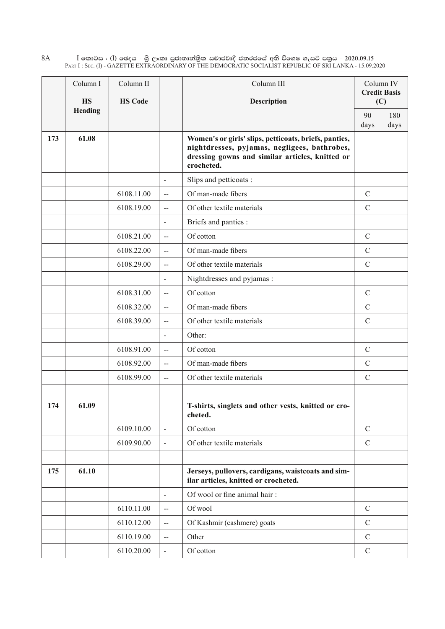$\rm I$  කොටස : ( $\rm I$ ) ඡෙදය - ශුී ලංකා පුජාතාන්තිුක සමාජවාදී ජනරජයේ අති විශෙෂ ගැසට් පතුය - 2020.09.15 Part I : Sec. (I) - GAZETTE EXTRAORDINARY OF THE DEMOCRATIC SOCIALIST REPUBLIC OF SRI LANKA - 15.09.2020 8A

|     | Column I       | Column II      |                             | Column III                                                                                                                                                             |               | Column IV<br><b>Credit Basis</b> |
|-----|----------------|----------------|-----------------------------|------------------------------------------------------------------------------------------------------------------------------------------------------------------------|---------------|----------------------------------|
|     | <b>HS</b>      | <b>HS Code</b> |                             | <b>Description</b>                                                                                                                                                     |               | (C)                              |
|     | <b>Heading</b> |                |                             |                                                                                                                                                                        | 90            | 180                              |
|     | 61.08          |                |                             |                                                                                                                                                                        | days          | days                             |
| 173 |                |                |                             | Women's or girls' slips, petticoats, briefs, panties,<br>nightdresses, pyjamas, negligees, bathrobes,<br>dressing gowns and similar articles, knitted or<br>crocheted. |               |                                  |
|     |                |                | $\blacksquare$              | Slips and petticoats:                                                                                                                                                  |               |                                  |
|     |                | 6108.11.00     | $-$                         | Of man-made fibers                                                                                                                                                     | $\mathcal{C}$ |                                  |
|     |                | 6108.19.00     | $\overline{a}$              | Of other textile materials                                                                                                                                             | $\mathcal{C}$ |                                  |
|     |                |                | $\blacksquare$              | Briefs and panties :                                                                                                                                                   |               |                                  |
|     |                | 6108.21.00     | $\overline{a}$              | Of cotton                                                                                                                                                              | $\mathcal{C}$ |                                  |
|     |                | 6108.22.00     | $\overline{a}$              | Of man-made fibers                                                                                                                                                     | $\mathcal{C}$ |                                  |
|     |                | 6108.29.00     | $\overline{a}$              | Of other textile materials                                                                                                                                             | $\mathcal{C}$ |                                  |
|     |                |                | $\overline{\phantom{a}}$    | Nightdresses and pyjamas:                                                                                                                                              |               |                                  |
|     |                | 6108.31.00     | $\overline{a}$              | Of cotton                                                                                                                                                              | $\mathcal{C}$ |                                  |
|     |                | 6108.32.00     | $\overline{\phantom{a}}$    | Of man-made fibers                                                                                                                                                     | $\mathcal{C}$ |                                  |
|     |                | 6108.39.00     | $\overline{a}$              | Of other textile materials                                                                                                                                             | $\mathcal{C}$ |                                  |
|     |                |                | $\overline{\phantom{a}}$    | Other:                                                                                                                                                                 |               |                                  |
|     |                | 6108.91.00     | $\overline{a}$              | Of cotton                                                                                                                                                              | $\mathcal{C}$ |                                  |
|     |                | 6108.92.00     | $\overline{a}$              | Of man-made fibers                                                                                                                                                     | $\mathcal{C}$ |                                  |
|     |                | 6108.99.00     | $\overline{a}$              | Of other textile materials                                                                                                                                             | $\mathcal{C}$ |                                  |
|     |                |                |                             |                                                                                                                                                                        |               |                                  |
| 174 | 61.09          |                |                             | T-shirts, singlets and other vests, knitted or cro-<br>cheted.                                                                                                         |               |                                  |
|     |                | 6109.10.00     | $\blacksquare$              | Of cotton                                                                                                                                                              | $\mathcal{C}$ |                                  |
|     |                | 6109.90.00     | $\blacksquare$              | Of other textile materials                                                                                                                                             | $\mathcal{C}$ |                                  |
|     |                |                |                             |                                                                                                                                                                        |               |                                  |
| 175 | 61.10          |                |                             | Jerseys, pullovers, cardigans, waistcoats and sim-<br>ilar articles, knitted or crocheted.                                                                             |               |                                  |
|     |                |                | $\blacksquare$              | Of wool or fine animal hair:                                                                                                                                           |               |                                  |
|     |                | 6110.11.00     | $\overline{\phantom{a}}$    | Of wool                                                                                                                                                                | $\mathcal{C}$ |                                  |
|     |                | 6110.12.00     | $\mathcal{L}_{\mathcal{F}}$ | Of Kashmir (cashmere) goats                                                                                                                                            | $\mathcal{C}$ |                                  |
|     |                | 6110.19.00     | $\mathcal{L}_{\mathcal{F}}$ | Other                                                                                                                                                                  | $\mathcal{C}$ |                                  |
|     |                | 6110.20.00     | $\overline{a}$              | Of cotton                                                                                                                                                              | $\mathcal{C}$ |                                  |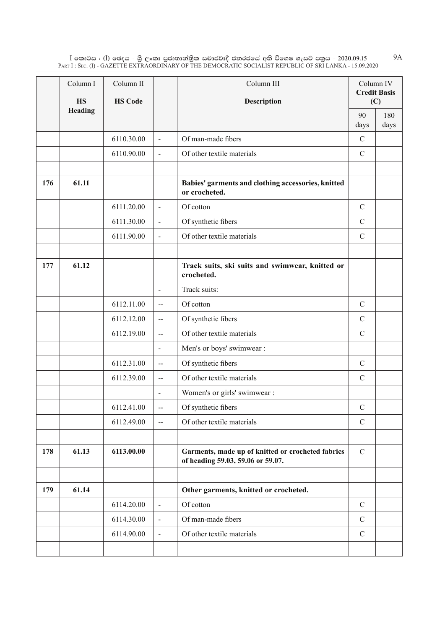$\rm I$  කොටස : ( $\rm I$ ) ඡෙදය - ශුී ලංකා පුජාතාන්තුික සමාජවාදී ජනරජයේ අති විශෙෂ ගැසට් පතුය - 2020.09.15 Part I : Sec. (I) - GAZETTE EXTRAORDINARY OF THE DEMOCRATIC SOCIALIST REPUBLIC OF SRI LANKA - 15.09.2020 9A

|     | Column I<br>HS | Column II<br><b>HS Code</b> |                          | Column III<br>Description                                                              | Column IV     | <b>Credit Basis</b><br>(C) |
|-----|----------------|-----------------------------|--------------------------|----------------------------------------------------------------------------------------|---------------|----------------------------|
|     | Heading        |                             |                          |                                                                                        | 90<br>days    | 180<br>days                |
|     |                | 6110.30.00                  | $\blacksquare$           | Of man-made fibers                                                                     | $\mathcal{C}$ |                            |
|     |                | 6110.90.00                  | $\blacksquare$           | Of other textile materials                                                             | $\mathcal{C}$ |                            |
|     |                |                             |                          |                                                                                        |               |                            |
| 176 | 61.11          |                             |                          | Babies' garments and clothing accessories, knitted<br>or crocheted.                    |               |                            |
|     |                | 6111.20.00                  | $\blacksquare$           | Of cotton                                                                              | $\mathcal{C}$ |                            |
|     |                | 6111.30.00                  | $\overline{\phantom{a}}$ | Of synthetic fibers                                                                    | $\mathcal{C}$ |                            |
|     |                | 6111.90.00                  | $\blacksquare$           | Of other textile materials                                                             | $\mathcal{C}$ |                            |
|     |                |                             |                          |                                                                                        |               |                            |
| 177 | 61.12          |                             |                          | Track suits, ski suits and swimwear, knitted or<br>crocheted.                          |               |                            |
|     |                |                             | $\blacksquare$           | Track suits:                                                                           |               |                            |
|     |                | 6112.11.00                  | $\overline{a}$           | Of cotton                                                                              | $\mathcal{C}$ |                            |
|     |                | 6112.12.00                  | $\overline{\phantom{a}}$ | Of synthetic fibers                                                                    | $\mathcal{C}$ |                            |
|     |                | 6112.19.00                  | $\overline{\phantom{a}}$ | Of other textile materials                                                             | $\mathcal{C}$ |                            |
|     |                |                             | $\overline{\phantom{a}}$ | Men's or boys' swimwear :                                                              |               |                            |
|     |                | 6112.31.00                  | $\overline{\phantom{a}}$ | Of synthetic fibers                                                                    | $\mathcal{C}$ |                            |
|     |                | 6112.39.00                  | $\overline{\phantom{a}}$ | Of other textile materials                                                             | $\mathcal{C}$ |                            |
|     |                |                             | $\blacksquare$           | Women's or girls' swimwear :                                                           |               |                            |
|     |                | 6112.41.00                  | $\overline{\phantom{m}}$ | Of synthetic fibers                                                                    | $\mathcal{C}$ |                            |
|     |                | 6112.49.00                  | $\overline{\phantom{a}}$ | Of other textile materials                                                             | $\mathcal{C}$ |                            |
|     |                |                             |                          |                                                                                        |               |                            |
| 178 | 61.13          | 6113.00.00                  |                          | Garments, made up of knitted or crocheted fabrics<br>of heading 59.03, 59.06 or 59.07. | $\mathcal{C}$ |                            |
|     |                |                             |                          |                                                                                        |               |                            |
| 179 | 61.14          |                             |                          | Other garments, knitted or crocheted.                                                  |               |                            |
|     |                | 6114.20.00                  | $\blacksquare$           | Of cotton                                                                              | $\mathcal{C}$ |                            |
|     |                | 6114.30.00                  | $\blacksquare$           | Of man-made fibers                                                                     | $\mathcal{C}$ |                            |
|     |                | 6114.90.00                  | $\blacksquare$           | Of other textile materials                                                             | $\mathcal{C}$ |                            |
|     |                |                             |                          |                                                                                        |               |                            |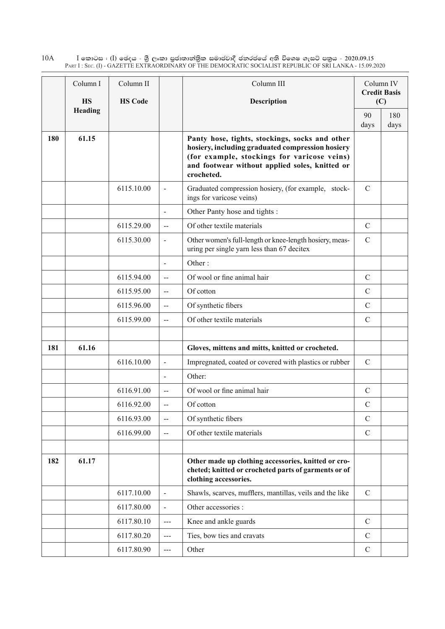$\rm I$  කොටස : ( $\rm I$ ) ඡෙදය - ශුී ලංකා පුජාතාන්තිුක සමාජවාදී ජනරජයේ අති විශෙෂ ගැසට් පතුය - 2020.09.15 Part I : Sec. (I) - GAZETTE EXTRAORDINARY OF THE DEMOCRATIC SOCIALIST REPUBLIC OF SRI LANKA - 15.09.2020 10A

|     | Column I       | Column II      |                          | Column III                                                                                                                                                                                                        |               | Column IV<br><b>Credit Basis</b> |
|-----|----------------|----------------|--------------------------|-------------------------------------------------------------------------------------------------------------------------------------------------------------------------------------------------------------------|---------------|----------------------------------|
|     | <b>HS</b>      | <b>HS Code</b> |                          | Description                                                                                                                                                                                                       |               | (C)                              |
|     | <b>Heading</b> |                |                          |                                                                                                                                                                                                                   | 90            | 180                              |
|     |                |                |                          |                                                                                                                                                                                                                   | days          | days                             |
| 180 | 61.15          |                |                          | Panty hose, tights, stockings, socks and other<br>hosiery, including graduated compression hosiery<br>(for example, stockings for varicose veins)<br>and footwear without applied soles, knitted or<br>crocheted. |               |                                  |
|     |                | 6115.10.00     | $\blacksquare$           | Graduated compression hosiery, (for example, stock-<br>ings for varicose veins)                                                                                                                                   | $\mathcal{C}$ |                                  |
|     |                |                | $\blacksquare$           | Other Panty hose and tights :                                                                                                                                                                                     |               |                                  |
|     |                | 6115.29.00     | $\overline{a}$           | Of other textile materials                                                                                                                                                                                        | $\mathbf C$   |                                  |
|     |                | 6115.30.00     | $\blacksquare$           | Other women's full-length or knee-length hosiery, meas-<br>uring per single yarn less than 67 decitex                                                                                                             | $\mathcal{C}$ |                                  |
|     |                |                | $\overline{\phantom{a}}$ | Other:                                                                                                                                                                                                            |               |                                  |
|     |                | 6115.94.00     | $\overline{a}$           | Of wool or fine animal hair                                                                                                                                                                                       | $\mathcal{C}$ |                                  |
|     |                | 6115.95.00     | $\overline{a}$           | Of cotton                                                                                                                                                                                                         | $\mathcal{C}$ |                                  |
|     |                | 6115.96.00     | $-$                      | Of synthetic fibers                                                                                                                                                                                               | $\mathbf C$   |                                  |
|     |                | 6115.99.00     | --                       | Of other textile materials                                                                                                                                                                                        | $\mathcal{C}$ |                                  |
|     |                |                |                          |                                                                                                                                                                                                                   |               |                                  |
| 181 | 61.16          |                |                          | Gloves, mittens and mitts, knitted or crocheted.                                                                                                                                                                  |               |                                  |
|     |                | 6116.10.00     | $\blacksquare$           | Impregnated, coated or covered with plastics or rubber                                                                                                                                                            | $\mathcal{C}$ |                                  |
|     |                |                | $\blacksquare$           | Other:                                                                                                                                                                                                            |               |                                  |
|     |                | 6116.91.00     | $\overline{\phantom{a}}$ | Of wool or fine animal hair                                                                                                                                                                                       | $\mathcal{C}$ |                                  |
|     |                | 6116.92.00     | $-$                      | Of cotton                                                                                                                                                                                                         | $\mathcal{C}$ |                                  |
|     |                | 6116.93.00     | --                       | Of synthetic fibers                                                                                                                                                                                               | $\mathcal{C}$ |                                  |
|     |                | 6116.99.00     | $\overline{\phantom{a}}$ | Of other textile materials                                                                                                                                                                                        | $\mathcal{C}$ |                                  |
|     |                |                |                          |                                                                                                                                                                                                                   |               |                                  |
| 182 | 61.17          |                |                          | Other made up clothing accessories, knitted or cro-<br>cheted; knitted or crocheted parts of garments or of<br>clothing accessories.                                                                              |               |                                  |
|     |                | 6117.10.00     | $\overline{a}$           | Shawls, scarves, mufflers, mantillas, veils and the like                                                                                                                                                          | $\mathcal{C}$ |                                  |
|     |                | 6117.80.00     | $\blacksquare$           | Other accessories :                                                                                                                                                                                               |               |                                  |
|     |                | 6117.80.10     | $--$                     | Knee and ankle guards                                                                                                                                                                                             | $\mathbf C$   |                                  |
|     |                | 6117.80.20     | $\overline{a}$           | Ties, bow ties and cravats                                                                                                                                                                                        | $\mathcal{C}$ |                                  |
|     |                | 6117.80.90     | $---$                    | Other                                                                                                                                                                                                             | $\mathbf C$   |                                  |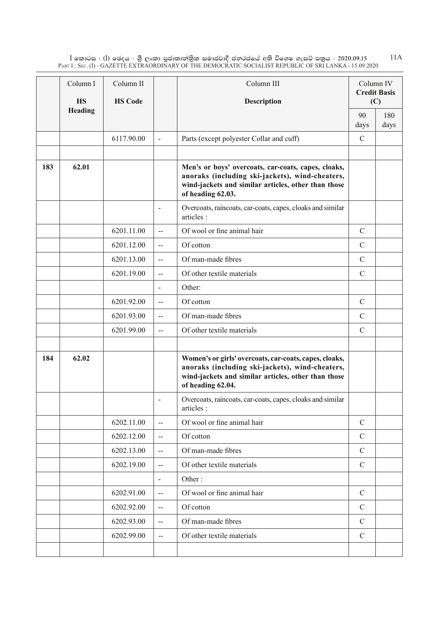$\rm I$  කොටස : ( $\rm I$ ) ඡෙදය - ශුී ලංකා පුජාතාන්තුික සමාජවාදී ජනරජයේ අති විශෙෂ ගැසට් පතුය - 2020.09.15 Part I : Sec. (I) - GAZETTE EXTRAORDINARY OF THE DEMOCRATIC SOCIALIST REPUBLIC OF SRI LANKA - 15.09.2020 11A

|     | Column I             | Column II      |                          | Column III                                                                                                                                                                            | Column IV<br><b>Credit Basis</b> |             |
|-----|----------------------|----------------|--------------------------|---------------------------------------------------------------------------------------------------------------------------------------------------------------------------------------|----------------------------------|-------------|
|     | <b>HS</b><br>Heading | <b>HS Code</b> |                          | Description                                                                                                                                                                           | (C)                              |             |
|     |                      |                |                          |                                                                                                                                                                                       | 90<br>days                       | 180<br>days |
|     |                      | 6117.90.00     | $\overline{\phantom{a}}$ | Parts (except polyester Collar and cuff)                                                                                                                                              | $\mathcal{C}$                    |             |
|     |                      |                |                          |                                                                                                                                                                                       |                                  |             |
| 183 | 62.01                |                |                          | Men's or boys' overcoats, car-coats, capes, cloaks,<br>anoraks (including ski-jackets), wind-cheaters,<br>wind-jackets and similar articles, other than those<br>of heading 62.03.    |                                  |             |
|     |                      |                |                          | Overcoats, raincoats, car-coats, capes, cloaks and similar<br>articles :                                                                                                              |                                  |             |
|     |                      | 6201.11.00     | $\overline{a}$           | Of wool or fine animal hair                                                                                                                                                           | $\mathbf C$                      |             |
|     |                      | 6201.12.00     | $\overline{a}$           | Of cotton                                                                                                                                                                             | $\mathcal{C}$                    |             |
|     |                      | 6201.13.00     | $\overline{a}$           | Of man-made fibres                                                                                                                                                                    | $\mathcal{C}$                    |             |
|     |                      | 6201.19.00     | $\mathbf{H}$             | Of other textile materials                                                                                                                                                            | $\mathcal{C}$                    |             |
|     |                      |                | $\blacksquare$           | Other:                                                                                                                                                                                |                                  |             |
|     |                      | 6201.92.00     | $-$                      | Of cotton                                                                                                                                                                             | $\mathcal{C}$                    |             |
|     |                      | 6201.93.00     | $\overline{a}$           | Of man-made fibres                                                                                                                                                                    | $\mathcal{C}$                    |             |
|     |                      | 6201.99.00     | $\overline{a}$           | Of other textile materials                                                                                                                                                            | $\mathcal{C}$                    |             |
|     |                      |                |                          |                                                                                                                                                                                       |                                  |             |
| 184 | 62.02                |                |                          | Women's or girls' overcoats, car-coats, capes, cloaks,<br>anoraks (including ski-jackets), wind-cheaters,<br>wind-jackets and similar articles, other than those<br>of heading 62.04. |                                  |             |
|     |                      |                | $\blacksquare$           | Overcoats, raincoats, car-coats, capes, cloaks and similar<br>articles :                                                                                                              |                                  |             |
|     |                      | 6202.11.00     | $\overline{a}$           | Of wool or fine animal hair                                                                                                                                                           | $\mathcal{C}$                    |             |
|     |                      | 6202.12.00     | $\overline{\phantom{a}}$ | Of cotton                                                                                                                                                                             | $\mathcal{C}$                    |             |
|     |                      | 6202.13.00     | $\mathbf{--}$            | Of man-made fibres                                                                                                                                                                    | $\mathcal{C}$                    |             |
|     |                      | 6202.19.00     | $\overline{\phantom{a}}$ | Of other textile materials                                                                                                                                                            | $\mathcal{C}$                    |             |
|     |                      |                | $\overline{\phantom{a}}$ | Other:                                                                                                                                                                                |                                  |             |
|     |                      | 6202.91.00     | $\overline{\phantom{a}}$ | Of wool or fine animal hair                                                                                                                                                           | $\mathcal{C}$                    |             |
|     |                      | 6202.92.00     | $\overline{\phantom{a}}$ | Of cotton                                                                                                                                                                             | $\mathcal{C}$                    |             |
|     |                      | 6202.93.00     | $\overline{a}$           | Of man-made fibres                                                                                                                                                                    | $\mathcal{C}$                    |             |
|     |                      | 6202.99.00     | $-$                      | Of other textile materials                                                                                                                                                            | $\mathcal{C}$                    |             |
|     |                      |                |                          |                                                                                                                                                                                       |                                  |             |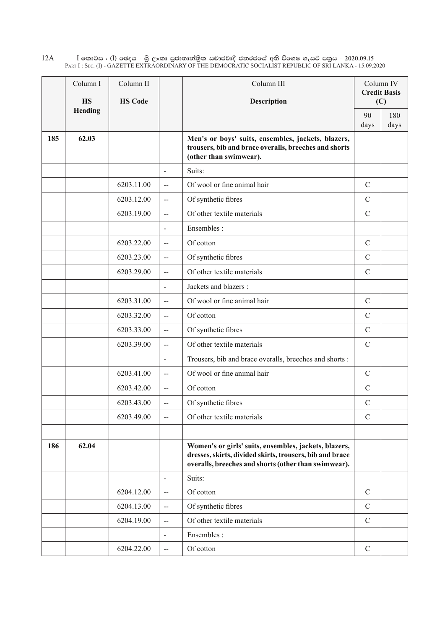$\rm I$  කොටස : ( $\rm I$ ) ඡෙදය - ශුී ලංකා පුජාතාන්තිුක සමාජවාදී ජනරජයේ අති විශෙෂ ගැසට් පතුය - 2020.09.15 Part I : Sec. (I) - GAZETTE EXTRAORDINARY OF THE DEMOCRATIC SOCIALIST REPUBLIC OF SRI LANKA - 15.09.2020 12A

|     | Column I                    | Column II      |                          | Column III                                                                                                                                                                | Column IV<br><b>Credit Basis</b> |      |
|-----|-----------------------------|----------------|--------------------------|---------------------------------------------------------------------------------------------------------------------------------------------------------------------------|----------------------------------|------|
|     | <b>HS</b><br><b>Heading</b> | <b>HS Code</b> |                          | Description                                                                                                                                                               |                                  | (C)  |
|     |                             |                |                          |                                                                                                                                                                           | 90                               | 180  |
| 185 | 62.03                       |                |                          |                                                                                                                                                                           | days                             | days |
|     |                             |                |                          | Men's or boys' suits, ensembles, jackets, blazers,<br>trousers, bib and brace overalls, breeches and shorts<br>(other than swimwear).                                     |                                  |      |
|     |                             |                | $\sim$                   | Suits:                                                                                                                                                                    |                                  |      |
|     |                             | 6203.11.00     | $\overline{a}$           | Of wool or fine animal hair                                                                                                                                               | $\mathcal{C}$                    |      |
|     |                             | 6203.12.00     | $\overline{a}$           | Of synthetic fibres                                                                                                                                                       | $\mathbf C$                      |      |
|     |                             | 6203.19.00     | $\overline{a}$           | Of other textile materials                                                                                                                                                | $\mathcal{C}$                    |      |
|     |                             |                | $\blacksquare$           | Ensembles:                                                                                                                                                                |                                  |      |
|     |                             | 6203.22.00     | $-$                      | Of cotton                                                                                                                                                                 | $\mathcal{C}$                    |      |
|     |                             | 6203.23.00     | $\overline{\phantom{a}}$ | Of synthetic fibres                                                                                                                                                       | $\mathbf C$                      |      |
|     |                             | 6203.29.00     | $\sim$                   | Of other textile materials                                                                                                                                                | $\mathcal{C}$                    |      |
|     |                             |                | $\blacksquare$           | Jackets and blazers :                                                                                                                                                     |                                  |      |
|     |                             | 6203.31.00     | $\overline{a}$           | Of wool or fine animal hair                                                                                                                                               | $\mathcal{C}$                    |      |
|     |                             | 6203.32.00     | $-$                      | Of cotton                                                                                                                                                                 | $\mathbf C$                      |      |
|     |                             | 6203.33.00     | $\overline{a}$           | Of synthetic fibres                                                                                                                                                       | $\mathcal{C}$                    |      |
|     |                             | 6203.39.00     | $\overline{\phantom{a}}$ | Of other textile materials                                                                                                                                                | $\mathcal{C}$                    |      |
|     |                             |                | $\sim$                   | Trousers, bib and brace overalls, breeches and shorts:                                                                                                                    |                                  |      |
|     |                             | 6203.41.00     | $\overline{\phantom{a}}$ | Of wool or fine animal hair                                                                                                                                               | $\mathcal{C}$                    |      |
|     |                             | 6203.42.00     | $\overline{a}$           | Of cotton                                                                                                                                                                 | $\mathcal{C}$                    |      |
|     |                             | 6203.43.00     | $\overline{a}$           | Of synthetic fibres                                                                                                                                                       | $\mathcal{C}$                    |      |
|     |                             | 6203.49.00     | $\overline{a}$           | Of other textile materials                                                                                                                                                | $\mathcal{C}$                    |      |
|     |                             |                |                          |                                                                                                                                                                           |                                  |      |
| 186 | 62.04                       |                |                          | Women's or girls' suits, ensembles, jackets, blazers,<br>dresses, skirts, divided skirts, trousers, bib and brace<br>overalls, breeches and shorts (other than swimwear). |                                  |      |
|     |                             |                | $\blacksquare$           | Suits:                                                                                                                                                                    |                                  |      |
|     |                             | 6204.12.00     | $-$                      | Of cotton                                                                                                                                                                 | $\mathcal{C}$                    |      |
|     |                             | 6204.13.00     | $\overline{a}$           | Of synthetic fibres                                                                                                                                                       | $\mathcal{C}$                    |      |
|     |                             | 6204.19.00     | $\overline{a}$           | Of other textile materials                                                                                                                                                | $\mathcal{C}$                    |      |
|     |                             |                | $\blacksquare$           | Ensembles :                                                                                                                                                               |                                  |      |
|     |                             | 6204.22.00     | --                       | Of cotton                                                                                                                                                                 | $\mathcal{C}$                    |      |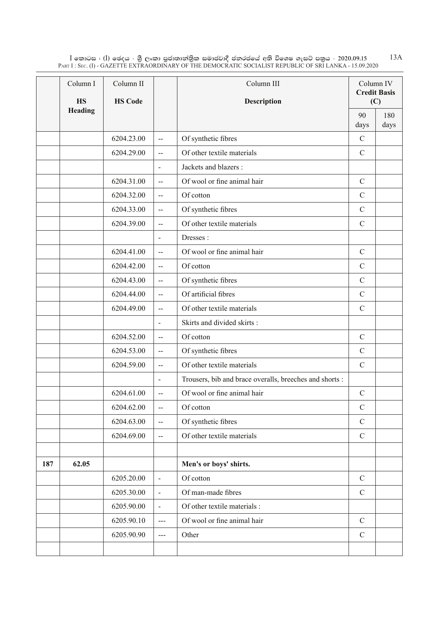$\rm I$  කොටස : ( $\rm I$ ) ඡෙදය - ශුී ලංකා පුජාතාන්තුික සමාජවාදී ජනරජයේ අති විශෙෂ ගැසට් පතුය - 2020.09.15 Part I : Sec. (I) - GAZETTE EXTRAORDINARY OF THE DEMOCRATIC SOCIALIST REPUBLIC OF SRI LANKA - 15.09.2020 13A

|     | Column I<br><b>HS</b> | Column II<br><b>HS Code</b> |                          | Column III<br>Description                              | Column IV<br><b>Credit Basis</b><br>(C) |             |
|-----|-----------------------|-----------------------------|--------------------------|--------------------------------------------------------|-----------------------------------------|-------------|
|     | <b>Heading</b>        |                             |                          |                                                        | 90<br>days                              | 180<br>days |
|     |                       | 6204.23.00                  | $\overline{\phantom{a}}$ | Of synthetic fibres                                    | $\mathcal{C}$                           |             |
|     |                       | 6204.29.00                  | $\mathbf{L}$             | Of other textile materials                             | $\mathcal{C}$                           |             |
|     |                       |                             | $\blacksquare$           | Jackets and blazers :                                  |                                         |             |
|     |                       | 6204.31.00                  | $\overline{\phantom{a}}$ | Of wool or fine animal hair                            | $\mathcal{C}$                           |             |
|     |                       | 6204.32.00                  | $-$                      | Of cotton                                              | $\mathcal{C}$                           |             |
|     |                       | 6204.33.00                  | $\overline{\phantom{a}}$ | Of synthetic fibres                                    | $\mathcal{C}$                           |             |
|     |                       | 6204.39.00                  | $\overline{a}$           | Of other textile materials                             | $\mathcal{C}$                           |             |
|     |                       |                             | $\overline{\phantom{a}}$ | Dresses:                                               |                                         |             |
|     |                       | 6204.41.00                  | $\mathbf{L}$             | Of wool or fine animal hair                            | $\mathbf C$                             |             |
|     |                       | 6204.42.00                  | $\mathbf{L}$             | Of cotton                                              | $\mathcal{C}$                           |             |
|     |                       | 6204.43.00                  | $\mathbf{L}$             | Of synthetic fibres                                    | $\mathcal{C}$                           |             |
|     |                       | 6204.44.00                  | $\mathbf{L}$             | Of artificial fibres                                   | $\mathcal{C}$                           |             |
|     |                       | 6204.49.00                  | $\overline{a}$           | Of other textile materials                             | $\mathcal{C}$                           |             |
|     |                       |                             | $\blacksquare$           | Skirts and divided skirts:                             |                                         |             |
|     |                       | 6204.52.00                  | $\overline{\phantom{a}}$ | Of cotton                                              | $\mathcal{C}$                           |             |
|     |                       | 6204.53.00                  | $\mathbf{L}$             | Of synthetic fibres                                    | $\mathcal{C}$                           |             |
|     |                       | 6204.59.00                  | $\overline{a}$           | Of other textile materials                             | $\mathcal{C}$                           |             |
|     |                       |                             | $\overline{\phantom{a}}$ | Trousers, bib and brace overalls, breeches and shorts: |                                         |             |
|     |                       | 6204.61.00                  | $\overline{a}$           | Of wool or fine animal hair                            | $\mathcal{C}$                           |             |
|     |                       | 6204.62.00                  | $\overline{a}$           | Of cotton                                              | $\mathbf C$                             |             |
|     |                       | 6204.63.00                  | $\overline{\phantom{a}}$ | Of synthetic fibres                                    | $\mathcal{C}$                           |             |
|     |                       | 6204.69.00                  | $\overline{\phantom{a}}$ | Of other textile materials                             | $\mathcal{C}$                           |             |
|     |                       |                             |                          |                                                        |                                         |             |
| 187 | 62.05                 |                             |                          | Men's or boys' shirts.                                 |                                         |             |
|     |                       | 6205.20.00                  | $\blacksquare$           | Of cotton                                              | $\mathbf C$                             |             |
|     |                       | 6205.30.00                  | $\overline{\phantom{a}}$ | Of man-made fibres                                     | $\mathcal{C}$                           |             |
|     |                       | 6205.90.00                  | $\overline{\phantom{m}}$ | Of other textile materials :                           |                                         |             |
|     |                       | 6205.90.10                  | $--$                     | Of wool or fine animal hair                            | $\mathcal{C}$                           |             |
|     |                       | 6205.90.90                  | $\overline{a}$           | Other                                                  | $\mathcal{C}$                           |             |
|     |                       |                             |                          |                                                        |                                         |             |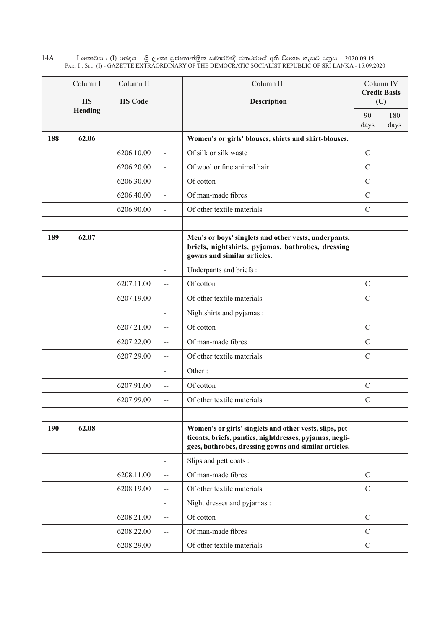$\rm I$  කොටස : ( $\rm I$ ) ඡෙදය - ශුී ලංකා පුජාතාන්තිුක සමාජවාදී ජනරජයේ අති විශෙෂ ගැසට් පතුය - 2020.09.15 Part I : Sec. (I) - GAZETTE EXTRAORDINARY OF THE DEMOCRATIC SOCIALIST REPUBLIC OF SRI LANKA - 15.09.2020 14A

|     | Column I       | Column II      |                              | Column III                                                                                                                                                                  |               | Column IV<br><b>Credit Basis</b> |
|-----|----------------|----------------|------------------------------|-----------------------------------------------------------------------------------------------------------------------------------------------------------------------------|---------------|----------------------------------|
|     | <b>HS</b>      | <b>HS Code</b> |                              | Description                                                                                                                                                                 |               | (C)                              |
|     | <b>Heading</b> |                |                              |                                                                                                                                                                             | 90<br>days    | 180<br>days                      |
| 188 | 62.06          |                |                              | Women's or girls' blouses, shirts and shirt-blouses.                                                                                                                        |               |                                  |
|     |                | 6206.10.00     | $\overline{a}$               | Of silk or silk waste                                                                                                                                                       | $\mathcal{C}$ |                                  |
|     |                | 6206.20.00     | $\overline{a}$               | Of wool or fine animal hair                                                                                                                                                 | $\mathcal{C}$ |                                  |
|     |                | 6206.30.00     | $\overline{\phantom{a}}$     | Of cotton                                                                                                                                                                   | $\mathcal{C}$ |                                  |
|     |                | 6206.40.00     | $\blacksquare$               | Of man-made fibres                                                                                                                                                          | $\mathcal{C}$ |                                  |
|     |                | 6206.90.00     | $\blacksquare$               | Of other textile materials                                                                                                                                                  | $\mathcal{C}$ |                                  |
|     |                |                |                              |                                                                                                                                                                             |               |                                  |
| 189 | 62.07          |                |                              | Men's or boys' singlets and other vests, underpants,<br>briefs, nightshirts, pyjamas, bathrobes, dressing<br>gowns and similar articles.                                    |               |                                  |
|     |                |                | $\overline{a}$               | Underpants and briefs :                                                                                                                                                     |               |                                  |
|     |                | 6207.11.00     | $-$                          | Of cotton                                                                                                                                                                   | $\mathcal{C}$ |                                  |
|     |                | 6207.19.00     | $\overline{a}$               | Of other textile materials                                                                                                                                                  | $\mathcal{C}$ |                                  |
|     |                |                | $\qquad \qquad \blacksquare$ | Nightshirts and pyjamas :                                                                                                                                                   |               |                                  |
|     |                | 6207.21.00     | $\overline{a}$               | Of cotton                                                                                                                                                                   | $\mathcal{C}$ |                                  |
|     |                | 6207.22.00     | $-$                          | Of man-made fibres                                                                                                                                                          | $\mathcal{C}$ |                                  |
|     |                | 6207.29.00     | $\overline{a}$               | Of other textile materials                                                                                                                                                  | $\mathcal{C}$ |                                  |
|     |                |                | $\blacksquare$               | Other:                                                                                                                                                                      |               |                                  |
|     |                | 6207.91.00     | $\overline{a}$               | Of cotton                                                                                                                                                                   | $\mathcal{C}$ |                                  |
|     |                | 6207.99.00     | $-$                          | Of other textile materials                                                                                                                                                  | $\mathcal{C}$ |                                  |
|     |                |                |                              |                                                                                                                                                                             |               |                                  |
| 190 | 62.08          |                |                              | Women's or girls' singlets and other vests, slips, pet-<br>ticoats, briefs, panties, nightdresses, pyjamas, negli-<br>gees, bathrobes, dressing gowns and similar articles. |               |                                  |
|     |                |                | $\overline{\phantom{a}}$     | Slips and petticoats:                                                                                                                                                       |               |                                  |
|     |                | 6208.11.00     | $\overline{a}$               | Of man-made fibres                                                                                                                                                          | $\mathcal{C}$ |                                  |
|     |                | 6208.19.00     | $\overline{a}$               | Of other textile materials                                                                                                                                                  | $\mathcal{C}$ |                                  |
|     |                |                | $\blacksquare$               | Night dresses and pyjamas:                                                                                                                                                  |               |                                  |
|     |                | 6208.21.00     | $\overline{\phantom{a}}$     | Of cotton                                                                                                                                                                   | $\mathcal{C}$ |                                  |
|     |                | 6208.22.00     | $-$                          | Of man-made fibres                                                                                                                                                          | $\mathcal{C}$ |                                  |
|     |                | 6208.29.00     | $-$                          | Of other textile materials                                                                                                                                                  | $\mathbf C$   |                                  |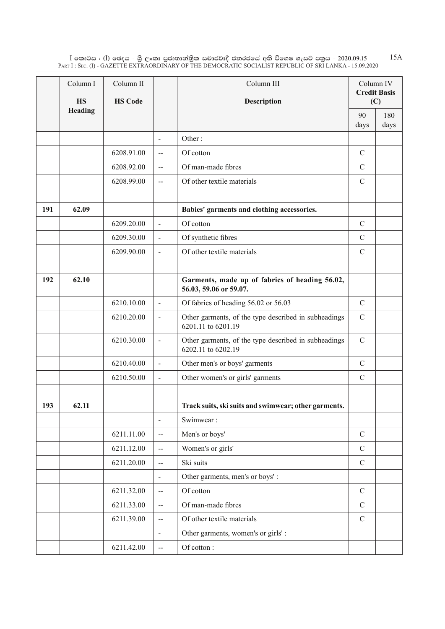$\rm I$  කොටස : ( $\rm I$ ) ඡෙදය - ශුී ලංකා පුජාතාන්තුික සමාජවාදී ජනරජයේ අති විශෙෂ ගැසට් පතුය - 2020.09.15 Part I : Sec. (I) - GAZETTE EXTRAORDINARY OF THE DEMOCRATIC SOCIALIST REPUBLIC OF SRI LANKA - 15.09.2020 15A

|     | Column I<br><b>HS</b> | Column II<br><b>HS Code</b> |                          | Column III<br>Description                                                  | Column IV<br><b>Credit Basis</b><br>(C) |             |
|-----|-----------------------|-----------------------------|--------------------------|----------------------------------------------------------------------------|-----------------------------------------|-------------|
|     | Heading               |                             |                          |                                                                            | 90<br>days                              | 180<br>days |
|     |                       |                             | $\overline{\phantom{a}}$ | Other:                                                                     |                                         |             |
|     |                       | 6208.91.00                  | $\overline{\phantom{a}}$ | Of cotton                                                                  | $\mathcal{C}$                           |             |
|     |                       | 6208.92.00                  | $\overline{\phantom{a}}$ | Of man-made fibres                                                         | $\mathcal{C}$                           |             |
|     |                       | 6208.99.00                  | $\mathbf{L}$             | Of other textile materials                                                 | $\mathcal{C}$                           |             |
|     |                       |                             |                          |                                                                            |                                         |             |
| 191 | 62.09                 |                             |                          | Babies' garments and clothing accessories.                                 |                                         |             |
|     |                       | 6209.20.00                  | $\overline{a}$           | Of cotton                                                                  | $\mathcal{C}$                           |             |
|     |                       | 6209.30.00                  | $\blacksquare$           | Of synthetic fibres                                                        | $\mathcal{C}$                           |             |
|     |                       | 6209.90.00                  | $\blacksquare$           | Of other textile materials                                                 | $\mathcal{C}$                           |             |
|     |                       |                             |                          |                                                                            |                                         |             |
| 192 | 62.10                 |                             |                          | Garments, made up of fabrics of heading 56.02,<br>56.03, 59.06 or 59.07.   |                                         |             |
|     |                       | 6210.10.00                  | $\blacksquare$           | Of fabrics of heading 56.02 or 56.03                                       | $\mathcal{C}$                           |             |
|     |                       | 6210.20.00                  | $\overline{\phantom{a}}$ | Other garments, of the type described in subheadings<br>6201.11 to 6201.19 | $\mathcal{C}$                           |             |
|     |                       | 6210.30.00                  | $\overline{\phantom{a}}$ | Other garments, of the type described in subheadings<br>6202.11 to 6202.19 | $\mathcal{C}$                           |             |
|     |                       | 6210.40.00                  | $\overline{\phantom{a}}$ | Other men's or boys' garments                                              | $\mathcal{C}$                           |             |
|     |                       | 6210.50.00                  | $\blacksquare$           | Other women's or girls' garments                                           | $\mathcal{C}$                           |             |
|     |                       |                             |                          |                                                                            |                                         |             |
| 193 | 62.11                 |                             |                          | Track suits, ski suits and swimwear; other garments.                       |                                         |             |
|     |                       |                             | $\overline{\phantom{a}}$ | Swimwear:                                                                  |                                         |             |
|     |                       | 6211.11.00                  | $\overline{\phantom{a}}$ | Men's or boys'                                                             | $\mathbf C$                             |             |
|     |                       | 6211.12.00                  | $\overline{\phantom{a}}$ | Women's or girls'                                                          | $\mathbf C$                             |             |
|     |                       | 6211.20.00                  | $\overline{a}$           | Ski suits                                                                  | $\mathcal{C}$                           |             |
|     |                       |                             | $\blacksquare$           | Other garments, men's or boys':                                            |                                         |             |
|     |                       | 6211.32.00                  | $\overline{a}$           | Of cotton                                                                  | $\mathcal{C}$                           |             |
|     |                       | 6211.33.00                  | $\overline{\phantom{a}}$ | Of man-made fibres                                                         | $\mathcal{C}$                           |             |
|     |                       | 6211.39.00                  | $\overline{\phantom{a}}$ | Of other textile materials                                                 | $\mathcal{C}$                           |             |
|     |                       |                             | $\overline{\phantom{a}}$ | Other garments, women's or girls':                                         |                                         |             |
|     |                       | 6211.42.00                  | $\overline{\phantom{a}}$ | Of cotton:                                                                 |                                         |             |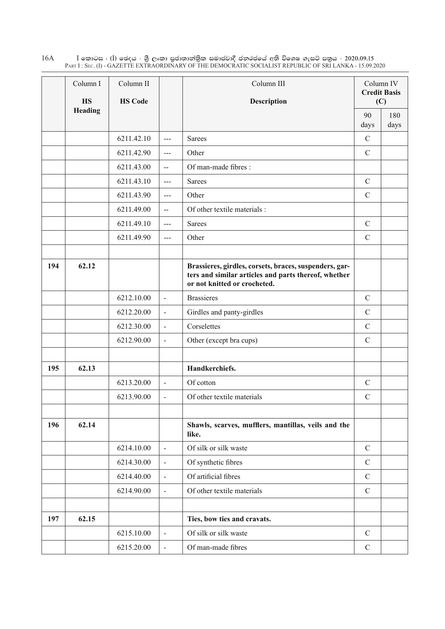$\rm I$  කොටස : ( $\rm I$ ) ඡෙදය - ශුී ලංකා පුජාතාන්තිුක සමාජවාදී ජනරජයේ අති විශෙෂ ගැසට් පතුය - 2020.09.15 Part I : Sec. (I) - GAZETTE EXTRAORDINARY OF THE DEMOCRATIC SOCIALIST REPUBLIC OF SRI LANKA - 15.09.2020 16A

|     | Column I<br><b>HS</b> | Column II<br><b>HS Code</b> |                          | Column III<br><b>Description</b>                                                                                                               |               | Column IV<br><b>Credit Basis</b><br>(C) |
|-----|-----------------------|-----------------------------|--------------------------|------------------------------------------------------------------------------------------------------------------------------------------------|---------------|-----------------------------------------|
|     | Heading               |                             |                          |                                                                                                                                                | 90<br>days    | 180<br>days                             |
|     |                       | 6211.42.10                  | $\sim$ $\sim$            | <b>Sarees</b>                                                                                                                                  | $\mathbf C$   |                                         |
|     |                       | 6211.42.90                  | $\overline{a}$           | Other                                                                                                                                          | $\mathcal{C}$ |                                         |
|     |                       | 6211.43.00                  | $\overline{a}$           | Of man-made fibres:                                                                                                                            |               |                                         |
|     |                       | 6211.43.10                  | $\overline{a}$           | <b>Sarees</b>                                                                                                                                  | $\mathcal{C}$ |                                         |
|     |                       | 6211.43.90                  | $\overline{\phantom{a}}$ | Other                                                                                                                                          | $\mathcal{C}$ |                                         |
|     |                       | 6211.49.00                  | $\overline{a}$           | Of other textile materials :                                                                                                                   |               |                                         |
|     |                       | 6211.49.10                  | $\overline{a}$           | <b>Sarees</b>                                                                                                                                  | $\mathcal{C}$ |                                         |
|     |                       | 6211.49.90                  | $\sim$ $\sim$            | Other                                                                                                                                          | $\mathcal{C}$ |                                         |
|     |                       |                             |                          |                                                                                                                                                |               |                                         |
| 194 | 62.12                 |                             |                          | Brassieres, girdles, corsets, braces, suspenders, gar-<br>ters and similar articles and parts thereof, whether<br>or not knitted or crocheted. |               |                                         |
|     |                       | 6212.10.00                  | $\blacksquare$           | <b>Brassieres</b>                                                                                                                              | $\mathbf C$   |                                         |
|     |                       | 6212.20.00                  | $\blacksquare$           | Girdles and panty-girdles                                                                                                                      | $\mathbf C$   |                                         |
|     |                       | 6212.30.00                  | $\blacksquare$           | Corselettes                                                                                                                                    | $\mathcal{C}$ |                                         |
|     |                       | 6212.90.00                  | $\blacksquare$           | Other (except bra cups)                                                                                                                        | $\mathcal{C}$ |                                         |
|     |                       |                             |                          |                                                                                                                                                |               |                                         |
| 195 | 62.13                 |                             |                          | Handkerchiefs.                                                                                                                                 |               |                                         |
|     |                       | 6213.20.00                  | $\overline{a}$           | Of cotton                                                                                                                                      | $\mathcal{C}$ |                                         |
|     |                       | 6213.90.00                  | $\blacksquare$           | Of other textile materials                                                                                                                     | $\mathcal{C}$ |                                         |
|     |                       |                             |                          |                                                                                                                                                |               |                                         |
| 196 | 62.14                 |                             |                          | Shawls, scarves, mufflers, mantillas, veils and the<br>like.                                                                                   |               |                                         |
|     |                       | 6214.10.00                  | $\overline{\phantom{a}}$ | Of silk or silk waste                                                                                                                          | $\mathcal{C}$ |                                         |
|     |                       | 6214.30.00                  | $\frac{1}{2}$            | Of synthetic fibres                                                                                                                            | $\mathcal{C}$ |                                         |
|     |                       | 6214.40.00                  | $\overline{a}$           | Of artificial fibres                                                                                                                           | $\mathbf C$   |                                         |
|     |                       | 6214.90.00                  | $\blacksquare$           | Of other textile materials                                                                                                                     | $\mathbf C$   |                                         |
|     |                       |                             |                          |                                                                                                                                                |               |                                         |
| 197 | 62.15                 |                             |                          | Ties, bow ties and cravats.                                                                                                                    |               |                                         |
|     |                       | 6215.10.00                  | $\blacksquare$           | Of silk or silk waste                                                                                                                          | $\mathcal{C}$ |                                         |
|     |                       | 6215.20.00                  | $\overline{\phantom{a}}$ | Of man-made fibres                                                                                                                             | $\mathsf{C}$  |                                         |